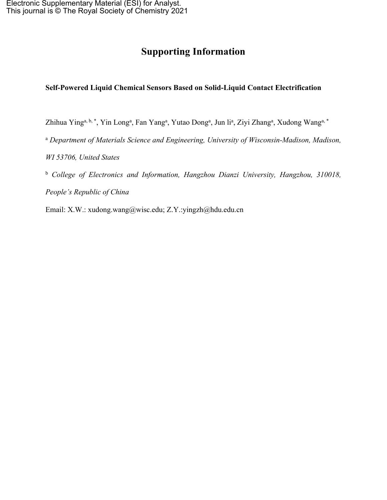# **Supporting Information**

### **Self-Powered Liquid Chemical Sensors Based on Solid-Liquid Contact Electrification**

Zhihua Ying<sup>a, b,\*</sup>, Yin Long<sup>a</sup>, Fan Yang<sup>a</sup>, Yutao Dong<sup>a</sup>, Jun li<sup>a</sup>, Ziyi Zhang<sup>a</sup>, Xudong Wang<sup>a,\*</sup>

<sup>a</sup> *Department of Materials Science and Engineering, University of Wisconsin-Madison, Madison,*

*WI 53706, United States*

<sup>b</sup> *College of Electronics and Information, Hangzhou Dianzi University, Hangzhou, 310018, People's Republic of China*

Email: X.W.: xudong.wang@wisc.edu; Z.Y.:yingzh@hdu.edu.cn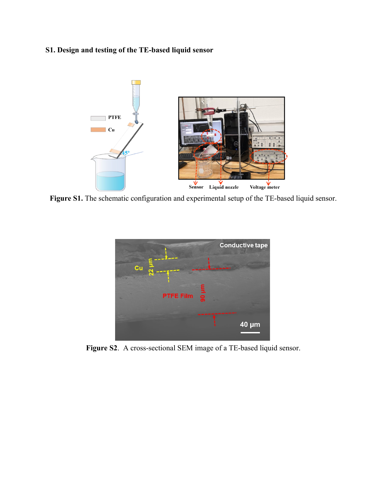# **S1. Design and testing of the TE-based liquid sensor**



**Figure S1.** The schematic configuration and experimental setup of the TE-based liquid sensor.



**Figure S2**. A cross-sectional SEM image of a TE-based liquid sensor.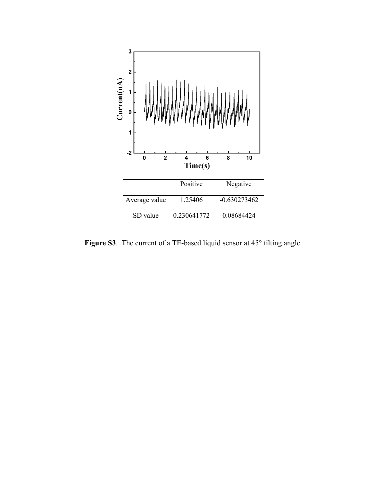

**Figure S3**. The current of a TE-based liquid sensor at 45° tilting angle.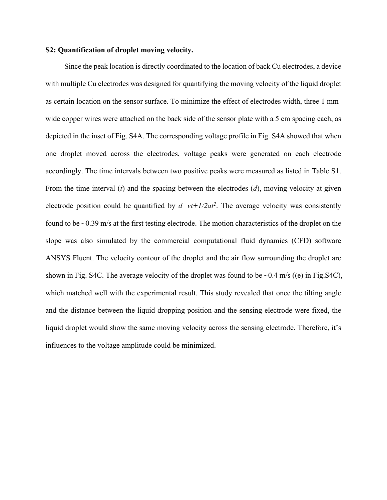#### **S2: Quantification of droplet moving velocity.**

Since the peak location is directly coordinated to the location of back Cu electrodes, a device with multiple Cu electrodes was designed for quantifying the moving velocity of the liquid droplet as certain location on the sensor surface. To minimize the effect of electrodes width, three 1 mmwide copper wires were attached on the back side of the sensor plate with a 5 cm spacing each, as depicted in the inset of Fig. S4A. The corresponding voltage profile in Fig. S4A showed that when one droplet moved across the electrodes, voltage peaks were generated on each electrode accordingly. The time intervals between two positive peaks were measured as listed in Table S1. From the time interval (*t*) and the spacing between the electrodes (*d*), moving velocity at given electrode position could be quantified by  $d=vt+1/2at^2$ . The average velocity was consistently found to be ~0.39 m/s at the first testing electrode. The motion characteristics of the droplet on the slope was also simulated by the commercial computational fluid dynamics (CFD) software ANSYS Fluent. The velocity contour of the droplet and the air flow surrounding the droplet are shown in Fig. S4C. The average velocity of the droplet was found to be  $\sim 0.4$  m/s ((e) in Fig. S4C), which matched well with the experimental result. This study revealed that once the tilting angle and the distance between the liquid dropping position and the sensing electrode were fixed, the liquid droplet would show the same moving velocity across the sensing electrode. Therefore, it's influences to the voltage amplitude could be minimized.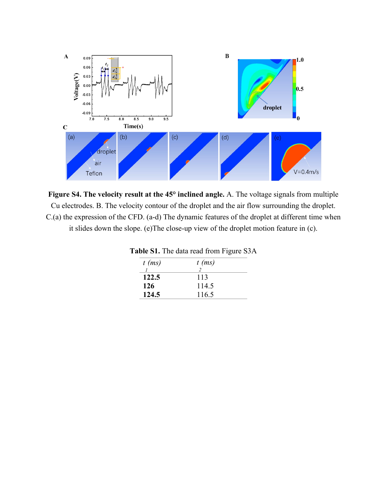



|          | able S1. The data read from Figure S3A |
|----------|----------------------------------------|
| $t$ (ms) | $t$ (ms)                               |
|          |                                        |
| 122.5    | 113                                    |
| 126      | 114.5                                  |
| 124.5    | 116.5                                  |

| <b>Table S1.</b> The data read from Figure S3A |  |  |  |  |  |  |
|------------------------------------------------|--|--|--|--|--|--|
|------------------------------------------------|--|--|--|--|--|--|